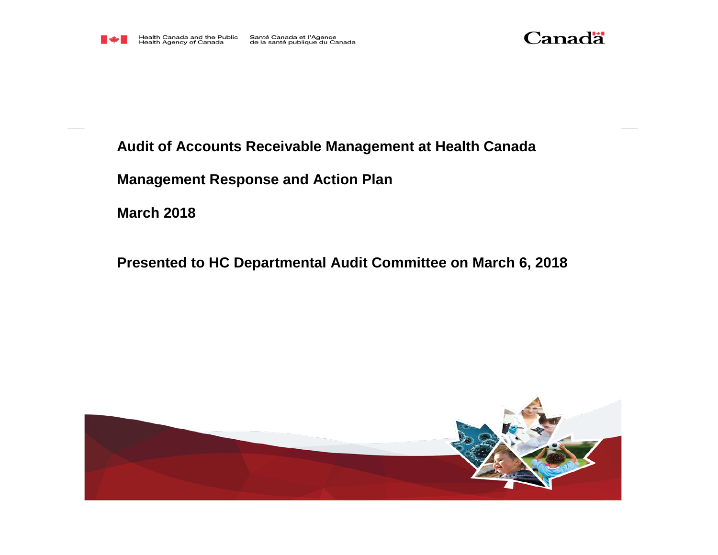



## **Audit of Accounts Receivable Management at Health Canada**

**Management Response and Action Plan**

**March 2018**

**Presented to HC Departmental Audit Committee on March 6, 2018**

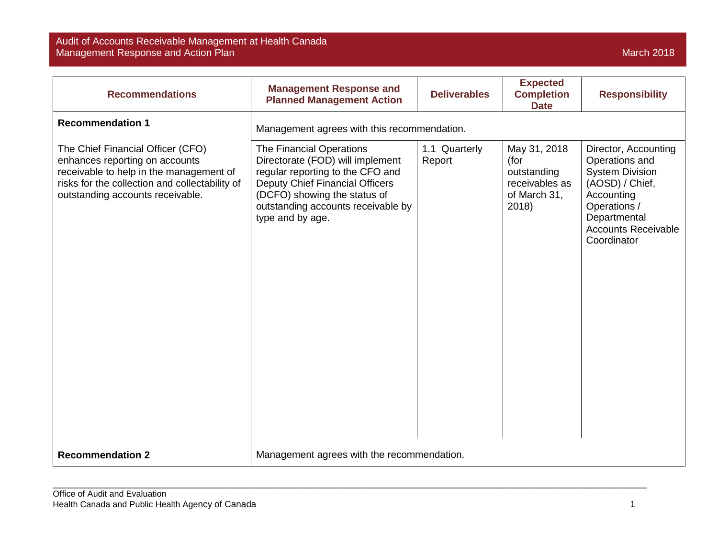## Audit of Accounts Receivable Management at Health Canada Management Response and Action Plan March 2018 – And The Control of The Control of The Control of The March 2018

| <b>Recommendations</b>                                                                                                                                                                               | <b>Management Response and</b><br><b>Planned Management Action</b>                                                                                                                                                            | <b>Deliverables</b>     | <b>Expected</b><br><b>Completion</b><br><b>Date</b>                            | <b>Responsibility</b>                                                                                                                                                          |
|------------------------------------------------------------------------------------------------------------------------------------------------------------------------------------------------------|-------------------------------------------------------------------------------------------------------------------------------------------------------------------------------------------------------------------------------|-------------------------|--------------------------------------------------------------------------------|--------------------------------------------------------------------------------------------------------------------------------------------------------------------------------|
| <b>Recommendation 1</b>                                                                                                                                                                              | Management agrees with this recommendation.                                                                                                                                                                                   |                         |                                                                                |                                                                                                                                                                                |
| The Chief Financial Officer (CFO)<br>enhances reporting on accounts<br>receivable to help in the management of<br>risks for the collection and collectability of<br>outstanding accounts receivable. | The Financial Operations<br>Directorate (FOD) will implement<br>regular reporting to the CFO and<br>Deputy Chief Financial Officers<br>(DCFO) showing the status of<br>outstanding accounts receivable by<br>type and by age. | 1.1 Quarterly<br>Report | May 31, 2018<br>(for<br>outstanding<br>receivables as<br>of March 31,<br>2018) | Director, Accounting<br>Operations and<br><b>System Division</b><br>(AOSD) / Chief,<br>Accounting<br>Operations /<br>Departmental<br><b>Accounts Receivable</b><br>Coordinator |
| <b>Recommendation 2</b>                                                                                                                                                                              | Management agrees with the recommendation.                                                                                                                                                                                    |                         |                                                                                |                                                                                                                                                                                |

\_\_\_\_\_\_\_\_\_\_\_\_\_\_\_\_\_\_\_\_\_\_\_\_\_\_\_\_\_\_\_\_\_\_\_\_\_\_\_\_\_\_\_\_\_\_\_\_\_\_\_\_\_\_\_\_\_\_\_\_\_\_\_\_\_\_\_\_\_\_\_\_\_\_\_\_\_\_\_\_\_\_\_\_\_\_\_\_\_\_\_\_\_\_\_\_\_\_\_\_\_\_\_\_\_\_\_\_\_\_\_\_\_\_\_\_\_\_\_\_\_\_\_\_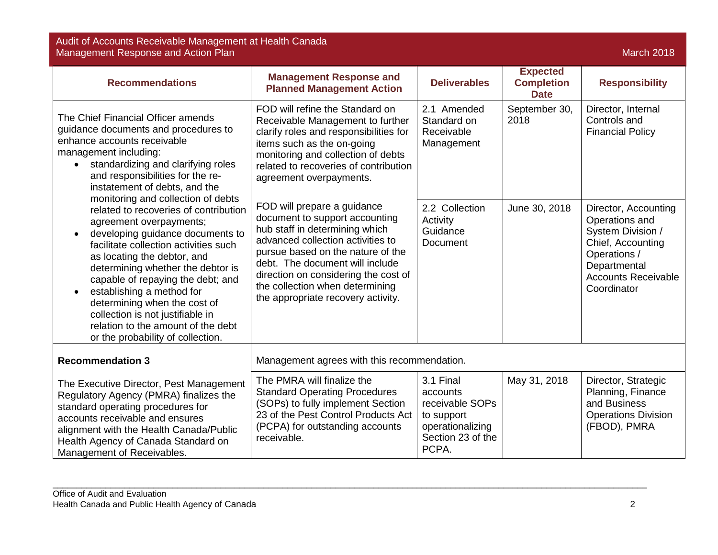Audit of Accounts Receivable Management at Health Canada Management Response and Action Plan March 2018 – And The Control of The Control of The Control of The March 2018

| <b>Recommendations</b>                                                                                                                                                                                                                                                                                                                                                                                                                                                                                                                                                                                                                                                                                                    | <b>Management Response and</b><br><b>Planned Management Action</b>                                                                                                                                                                                                                             | <b>Deliverables</b>                                                                                      | <b>Expected</b><br><b>Completion</b><br><b>Date</b> | <b>Responsibility</b>                                                                                                                 |
|---------------------------------------------------------------------------------------------------------------------------------------------------------------------------------------------------------------------------------------------------------------------------------------------------------------------------------------------------------------------------------------------------------------------------------------------------------------------------------------------------------------------------------------------------------------------------------------------------------------------------------------------------------------------------------------------------------------------------|------------------------------------------------------------------------------------------------------------------------------------------------------------------------------------------------------------------------------------------------------------------------------------------------|----------------------------------------------------------------------------------------------------------|-----------------------------------------------------|---------------------------------------------------------------------------------------------------------------------------------------|
| The Chief Financial Officer amends<br>guidance documents and procedures to<br>enhance accounts receivable<br>management including:<br>standardizing and clarifying roles<br>and responsibilities for the re-<br>instatement of debts, and the<br>monitoring and collection of debts<br>related to recoveries of contribution<br>agreement overpayments;<br>developing guidance documents to<br>facilitate collection activities such<br>as locating the debtor, and<br>determining whether the debtor is<br>capable of repaying the debt; and<br>establishing a method for<br>determining when the cost of<br>collection is not justifiable in<br>relation to the amount of the debt<br>or the probability of collection. | FOD will refine the Standard on<br>Receivable Management to further<br>clarify roles and responsibilities for<br>items such as the on-going<br>monitoring and collection of debts<br>related to recoveries of contribution<br>agreement overpayments.<br>FOD will prepare a guidance           | 2.1 Amended<br>Standard on<br>Receivable<br>Management<br>2.2 Collection                                 | September 30,<br>2018<br>June 30, 2018              | Director, Internal<br>Controls and<br><b>Financial Policy</b><br>Director, Accounting                                                 |
|                                                                                                                                                                                                                                                                                                                                                                                                                                                                                                                                                                                                                                                                                                                           | document to support accounting<br>hub staff in determining which<br>advanced collection activities to<br>pursue based on the nature of the<br>debt. The document will include<br>direction on considering the cost of<br>the collection when determining<br>the appropriate recovery activity. | Activity<br>Guidance<br><b>Document</b>                                                                  |                                                     | Operations and<br>System Division /<br>Chief, Accounting<br>Operations /<br>Departmental<br><b>Accounts Receivable</b><br>Coordinator |
| <b>Recommendation 3</b>                                                                                                                                                                                                                                                                                                                                                                                                                                                                                                                                                                                                                                                                                                   | Management agrees with this recommendation.                                                                                                                                                                                                                                                    |                                                                                                          |                                                     |                                                                                                                                       |
| The Executive Director, Pest Management<br>Regulatory Agency (PMRA) finalizes the<br>standard operating procedures for<br>accounts receivable and ensures<br>alignment with the Health Canada/Public<br>Health Agency of Canada Standard on<br>Management of Receivables.                                                                                                                                                                                                                                                                                                                                                                                                                                                 | The PMRA will finalize the<br><b>Standard Operating Procedures</b><br>(SOPs) to fully implement Section<br>23 of the Pest Control Products Act<br>(PCPA) for outstanding accounts<br>receivable.                                                                                               | 3.1 Final<br>accounts<br>receivable SOPs<br>to support<br>operationalizing<br>Section 23 of the<br>PCPA. | May 31, 2018                                        | Director, Strategic<br>Planning, Finance<br>and Business<br><b>Operations Division</b><br>(FBOD), PMRA                                |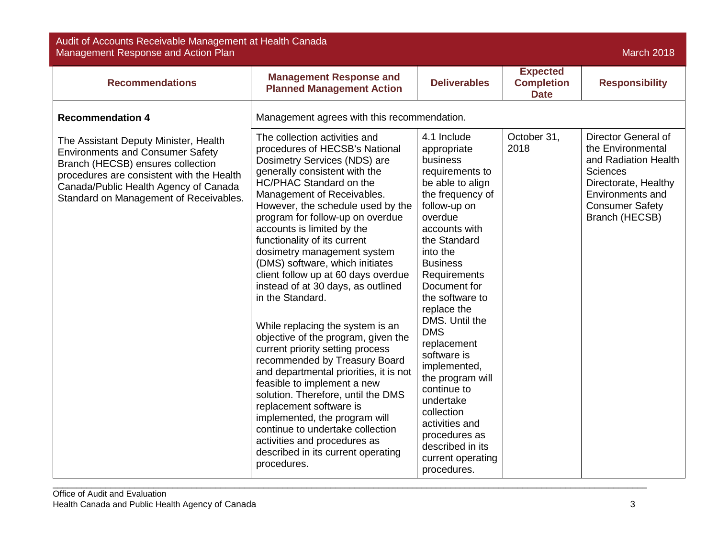| Audit of Accounts Receivable Management at Health Canada<br>Management Response and Action Plan<br><b>March 2018</b>                                                                                                                                  |                                                                                                                                                                                                                                                                                                                                                                                                                                                                                                                                                                                                                                                                                                                                                                                                                                                                                                                                                         |                                                                                                                                                                                                                                                                                                                                                                                                                                                                                                       |                                                     |                                                                                                                                                                             |
|-------------------------------------------------------------------------------------------------------------------------------------------------------------------------------------------------------------------------------------------------------|---------------------------------------------------------------------------------------------------------------------------------------------------------------------------------------------------------------------------------------------------------------------------------------------------------------------------------------------------------------------------------------------------------------------------------------------------------------------------------------------------------------------------------------------------------------------------------------------------------------------------------------------------------------------------------------------------------------------------------------------------------------------------------------------------------------------------------------------------------------------------------------------------------------------------------------------------------|-------------------------------------------------------------------------------------------------------------------------------------------------------------------------------------------------------------------------------------------------------------------------------------------------------------------------------------------------------------------------------------------------------------------------------------------------------------------------------------------------------|-----------------------------------------------------|-----------------------------------------------------------------------------------------------------------------------------------------------------------------------------|
| <b>Recommendations</b>                                                                                                                                                                                                                                | <b>Management Response and</b><br><b>Planned Management Action</b>                                                                                                                                                                                                                                                                                                                                                                                                                                                                                                                                                                                                                                                                                                                                                                                                                                                                                      | <b>Deliverables</b>                                                                                                                                                                                                                                                                                                                                                                                                                                                                                   | <b>Expected</b><br><b>Completion</b><br><b>Date</b> | <b>Responsibility</b>                                                                                                                                                       |
| <b>Recommendation 4</b>                                                                                                                                                                                                                               | Management agrees with this recommendation.                                                                                                                                                                                                                                                                                                                                                                                                                                                                                                                                                                                                                                                                                                                                                                                                                                                                                                             |                                                                                                                                                                                                                                                                                                                                                                                                                                                                                                       |                                                     |                                                                                                                                                                             |
| The Assistant Deputy Minister, Health<br><b>Environments and Consumer Safety</b><br>Branch (HECSB) ensures collection<br>procedures are consistent with the Health<br>Canada/Public Health Agency of Canada<br>Standard on Management of Receivables. | The collection activities and<br>procedures of HECSB's National<br>Dosimetry Services (NDS) are<br>generally consistent with the<br>HC/PHAC Standard on the<br>Management of Receivables.<br>However, the schedule used by the<br>program for follow-up on overdue<br>accounts is limited by the<br>functionality of its current<br>dosimetry management system<br>(DMS) software, which initiates<br>client follow up at 60 days overdue<br>instead of at 30 days, as outlined<br>in the Standard.<br>While replacing the system is an<br>objective of the program, given the<br>current priority setting process<br>recommended by Treasury Board<br>and departmental priorities, it is not<br>feasible to implement a new<br>solution. Therefore, until the DMS<br>replacement software is<br>implemented, the program will<br>continue to undertake collection<br>activities and procedures as<br>described in its current operating<br>procedures. | 4.1 Include<br>appropriate<br>business<br>requirements to<br>be able to align<br>the frequency of<br>follow-up on<br>overdue<br>accounts with<br>the Standard<br>into the<br><b>Business</b><br>Requirements<br>Document for<br>the software to<br>replace the<br>DMS. Until the<br><b>DMS</b><br>replacement<br>software is<br>implemented,<br>the program will<br>continue to<br>undertake<br>collection<br>activities and<br>procedures as<br>described in its<br>current operating<br>procedures. | October 31,<br>2018                                 | Director General of<br>the Environmental<br>and Radiation Health<br><b>Sciences</b><br>Directorate, Healthy<br>Environments and<br><b>Consumer Safety</b><br>Branch (HECSB) |